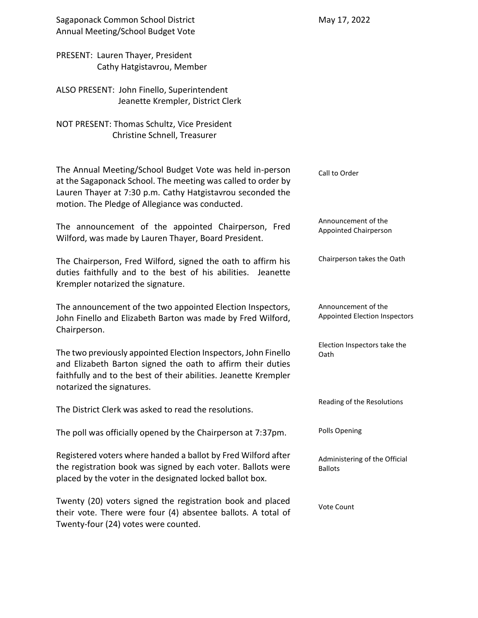| Sagaponack Common School District<br>Annual Meeting/School Budget Vote                                                                                                                                                                    | May 17, 2022                                                |
|-------------------------------------------------------------------------------------------------------------------------------------------------------------------------------------------------------------------------------------------|-------------------------------------------------------------|
| PRESENT: Lauren Thayer, President<br>Cathy Hatgistavrou, Member                                                                                                                                                                           |                                                             |
| ALSO PRESENT: John Finello, Superintendent<br>Jeanette Krempler, District Clerk                                                                                                                                                           |                                                             |
| NOT PRESENT: Thomas Schultz, Vice President<br>Christine Schnell, Treasurer                                                                                                                                                               |                                                             |
| The Annual Meeting/School Budget Vote was held in-person<br>at the Sagaponack School. The meeting was called to order by<br>Lauren Thayer at 7:30 p.m. Cathy Hatgistavrou seconded the<br>motion. The Pledge of Allegiance was conducted. | Call to Order                                               |
| The announcement of the appointed Chairperson, Fred<br>Wilford, was made by Lauren Thayer, Board President.                                                                                                                               | Announcement of the<br>Appointed Chairperson                |
| The Chairperson, Fred Wilford, signed the oath to affirm his<br>duties faithfully and to the best of his abilities.<br>Jeanette<br>Krempler notarized the signature.                                                                      | Chairperson takes the Oath                                  |
| The announcement of the two appointed Election Inspectors,<br>John Finello and Elizabeth Barton was made by Fred Wilford,<br>Chairperson.                                                                                                 | Announcement of the<br><b>Appointed Election Inspectors</b> |
| The two previously appointed Election Inspectors, John Finello<br>and Elizabeth Barton signed the oath to affirm their duties<br>faithfully and to the best of their abilities. Jeanette Krempler<br>notarized the signatures.            | Election Inspectors take the<br>Oath                        |
| The District Clerk was asked to read the resolutions.                                                                                                                                                                                     | Reading of the Resolutions                                  |
| The poll was officially opened by the Chairperson at 7:37pm.                                                                                                                                                                              | Polls Opening                                               |
| Registered voters where handed a ballot by Fred Wilford after<br>the registration book was signed by each voter. Ballots were<br>placed by the voter in the designated locked ballot box.                                                 | Administering of the Official<br><b>Ballots</b>             |
| Twenty (20) voters signed the registration book and placed<br>their vote. There were four (4) absentee ballots. A total of<br>Twenty-four (24) votes were counted.                                                                        | Vote Count                                                  |